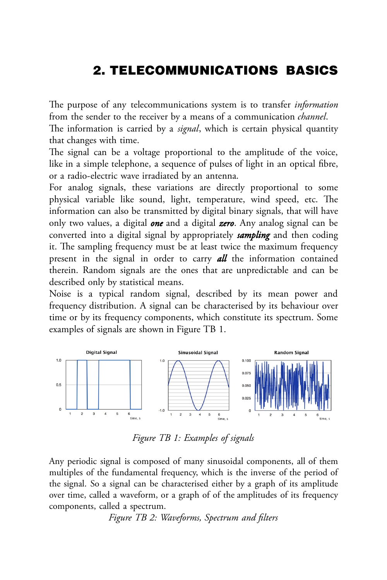# 2. TELECOMMUNICATIONS BASICS

The purpose of any telecommunications system is to transfer *information* from the sender to the receiver by a means of a communication *channel*.

The information is carried by a *signal*, which is certain physical quantity that changes with time.

The signal can be a voltage proportional to the amplitude of the voice, like in a simple telephone, a sequence of pulses of light in an optical fibre, or a radio-electric wave irradiated by an antenna.

For analog signals, these variations are directly proportional to some physical variable like sound, light, temperature, wind speed, etc. The information can also be transmitted by digital binary signals, that will have only two values, a digital *one* and a digital *zero*. Any analog signal can be converted into a digital signal by appropriately *sampling* and then coding it. The sampling frequency must be at least twice the maximum frequency present in the signal in order to carry *all* the information contained therein. Random signals are the ones that are unpredictable and can be described only by statistical means.

Noise is a typical random signal, described by its mean power and frequency distribution. A signal can be characterised by its behaviour over time or by its frequency components, which constitute its spectrum. Some examples of signals are shown in Figure TB 1.



*Figure TB 1: Examples of signals*

Any periodic signal is composed of many sinusoidal components, all of them multiples of the fundamental frequency, which is the inverse of the period of the signal. So a signal can be characterised either by a graph of its amplitude over time, called a waveform, or a graph of of the amplitudes of its frequency components, called a spectrum.

*Figure TB 2: Waveforms, Spectrum and filters*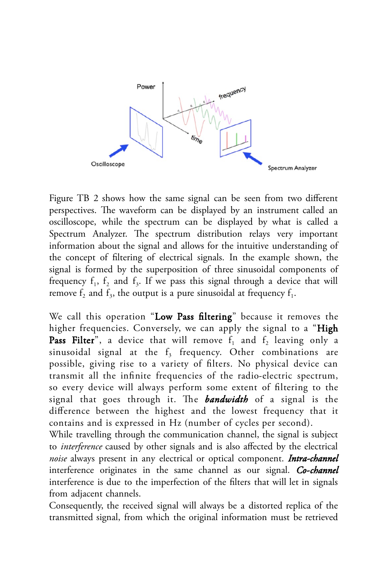

Figure TB 2 shows how the same signal can be seen from two different perspectives. The waveform can be displayed by an instrument called an oscilloscope, while the spectrum can be displayed by what is called a Spectrum Analyzer. The spectrum distribution relays very important information about the signal and allows for the intuitive understanding of the concept of filtering of electrical signals. In the example shown, the signal is formed by the superposition of three sinusoidal components of frequency  $f_1$ ,  $f_2$  and  $f_3$ . If we pass this signal through a device that will remove  $f_2$  and  $f_3$ , the output is a pure sinusoidal at frequency  $f_1$ .

We call this operation "Low Pass filtering" because it removes the higher frequencies. Conversely, we can apply the signal to a "High **Pass Filter**", a device that will remove  $f_1$  and  $f_2$  leaving only a sinusoidal signal at the  $\rm f_{3}$  frequency. Other combinations are possible, giving rise to a variety of filters. No physical device can transmit all the infinite frequencies of the radio-electric spectrum, so every device will always perform some extent of filtering to the signal that goes through it. The *bandwidth* of a signal is the difference between the highest and the lowest frequency that it contains and is expressed in Hz (number of cycles per second).

While travelling through the communication channel, the signal is subject to *interference* caused by other signals and is also affected by the electrical *noise* always present in any electrical or optical component. *Intra-channel*  interference originates in the same channel as our signal. *Co-channel*  interference is due to the imperfection of the filters that will let in signals from adjacent channels.

Consequently, the received signal will always be a distorted replica of the transmitted signal, from which the original information must be retrieved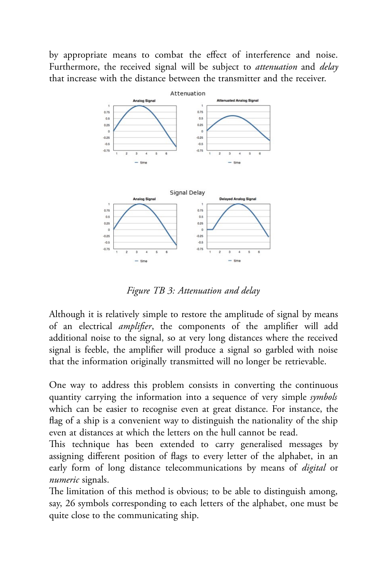by appropriate means to combat the effect of interference and noise. Furthermore, the received signal will be subject to *attenuation* and *delay* that increase with the distance between the transmitter and the receiver.



*Figure TB 3: Attenuation and delay*

Although it is relatively simple to restore the amplitude of signal by means of an electrical *amplifier*, the components of the amplifier will add additional noise to the signal, so at very long distances where the received signal is feeble, the amplifier will produce a signal so garbled with noise that the information originally transmitted will no longer be retrievable.

One way to address this problem consists in converting the continuous quantity carrying the information into a sequence of very simple *symbols* which can be easier to recognise even at great distance. For instance, the flag of a ship is a convenient way to distinguish the nationality of the ship even at distances at which the letters on the hull cannot be read.

This technique has been extended to carry generalised messages by assigning different position of flags to every letter of the alphabet, in an early form of long distance telecommunications by means of *digital* or *numeric* signals.

The limitation of this method is obvious; to be able to distinguish among, say, 26 symbols corresponding to each letters of the alphabet, one must be quite close to the communicating ship.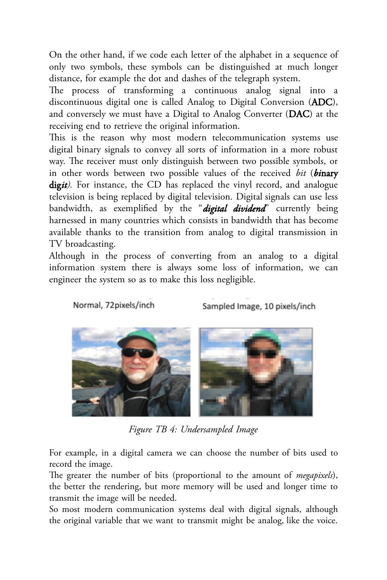On the other hand, if we code each letter of the alphabet in a sequence of only two symbols, these symbols can be distinguished at much longer distance, for example the dot and dashes of the telegraph system.

The process of transforming a continuous analog signal into a discontinuous digital one is called Analog to Digital Conversion (ADC), and conversely we must have a Digital to Analog Converter (DAC) at the receiving end to retrieve the original information.

This is the reason why most modern telecommunication systems use digital binary signals to convey all sorts of information in a more robust way. The receiver must only distinguish between two possible symbols, or in other words between two possible values of the received *bit* (*bi*nary digit). For instance, the CD has replaced the vinyl record, and analogue television is being replaced by digital television. Digital signals can use less bandwidth, as exemplified by the "*digital dividend*" currently being harnessed in many countries which consists in bandwidth that has become available thanks to the transition from analog to digital transmission in TV broadcasting.

Although in the process of converting from an analog to a digital information system there is always some loss of information, we can engineer the system so as to make this loss negligible.

Normal, 72pixels/inch

Sampled Image, 10 pixels/inch



*Figure TB 4: Undersampled Image*

For example, in a digital camera we can choose the number of bits used to record the image.

The greater the number of bits (proportional to the amount of *megapixels*), the better the rendering, but more memory will be used and longer time to transmit the image will be needed.

So most modern communication systems deal with digital signals, although the original variable that we want to transmit might be analog, like the voice.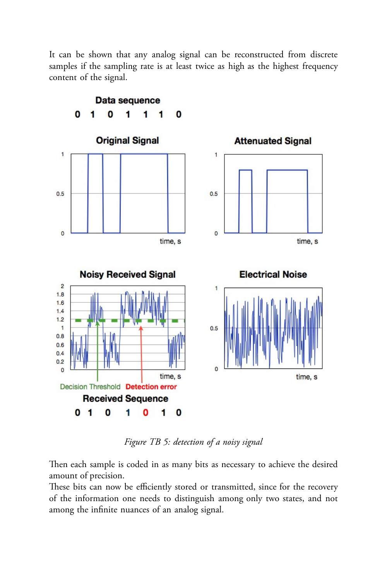It can be shown that any analog signal can be reconstructed from discrete samples if the sampling rate is at least twice as high as the highest frequency content of the signal.



*Figure TB 5: detection of a noisy signal*

Then each sample is coded in as many bits as necessary to achieve the desired amount of precision.

These bits can now be efficiently stored or transmitted, since for the recovery of the information one needs to distinguish among only two states, and not among the infinite nuances of an analog signal.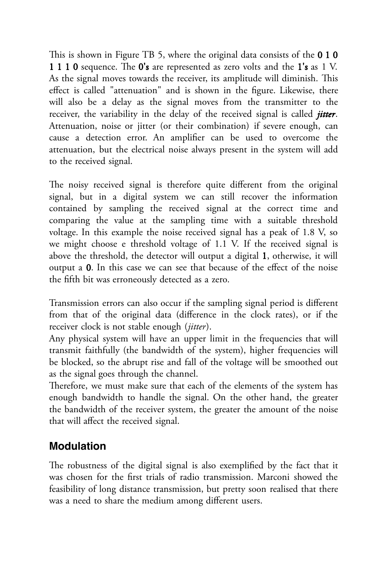This is shown in Figure TB 5, where the original data consists of the 0 1 0 1 1 1 0 sequence. The 0's are represented as zero volts and the 1's as 1 V. As the signal moves towards the receiver, its amplitude will diminish. This effect is called "attenuation" and is shown in the figure. Likewise, there will also be a delay as the signal moves from the transmitter to the receiver, the variability in the delay of the received signal is called *jitter*. Attenuation, noise or jitter (or their combination) if severe enough, can cause a detection error. An amplifier can be used to overcome the attenuation, but the electrical noise always present in the system will add to the received signal.

The noisy received signal is therefore quite different from the original signal, but in a digital system we can still recover the information contained by sampling the received signal at the correct time and comparing the value at the sampling time with a suitable threshold voltage. In this example the noise received signal has a peak of 1.8 V, so we might choose e threshold voltage of 1.1 V. If the received signal is above the threshold, the detector will output a digital 1, otherwise, it will output a 0. In this case we can see that because of the effect of the noise the fifth bit was erroneously detected as a zero.

Transmission errors can also occur if the sampling signal period is different from that of the original data (difference in the clock rates), or if the receiver clock is not stable enough (*jitter*).

Any physical system will have an upper limit in the frequencies that will transmit faithfully (the bandwidth of the system), higher frequencies will be blocked, so the abrupt rise and fall of the voltage will be smoothed out as the signal goes through the channel.

Therefore, we must make sure that each of the elements of the system has enough bandwidth to handle the signal. On the other hand, the greater the bandwidth of the receiver system, the greater the amount of the noise that will affect the received signal.

## **Modulation**

The robustness of the digital signal is also exemplified by the fact that it was chosen for the first trials of radio transmission. Marconi showed the feasibility of long distance transmission, but pretty soon realised that there was a need to share the medium among different users.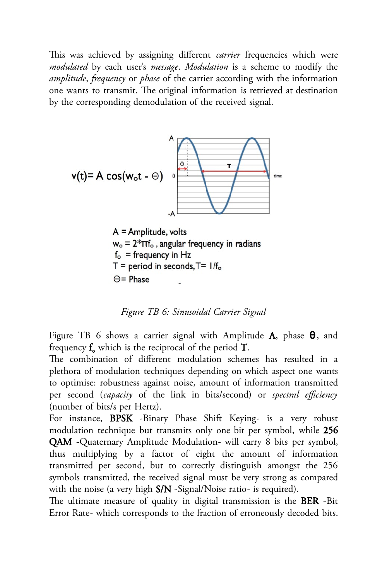This was achieved by assigning different *carrier* frequencies which were *modulated* by each user's *message*. *Modulation* is a scheme to modify the *amplitude*, *frequency* or *phase* of the carrier according with the information one wants to transmit. The original information is retrieved at destination by the corresponding demodulation of the received signal.



 $A =$ Amplitude, volts  $w_0 = 2*\pi f_0$ , angular frequency in radians  $f_{o}$  = frequency in Hz  $T = period$  in seconds,  $T = 1/f_0$  $\Theta$  = Phase

*Figure TB 6: Sinusoidal Carrier Signal*

Figure TB 6 shows a carrier signal with Amplitude A, phase  $\theta$ , and frequency  $\mathbf{f}_{\mathsf{o}}$  which is the reciprocal of the period  $\mathbf{T}.$ 

The combination of different modulation schemes has resulted in a plethora of modulation techniques depending on which aspect one wants to optimise: robustness against noise, amount of information transmitted per second (*capacity* of the link in bits/second) or *spectral efficiency* (number of bits/s per Hertz).

For instance, BPSK -Binary Phase Shift Keying- is a very robust modulation technique but transmits only one bit per symbol, while 256 QAM -Quaternary Amplitude Modulation- will carry 8 bits per symbol, thus multiplying by a factor of eight the amount of information transmitted per second, but to correctly distinguish amongst the 256 symbols transmitted, the received signal must be very strong as compared with the noise (a very high S/N -Signal/Noise ratio- is required).

The ultimate measure of quality in digital transmission is the BER -Bit Error Rate- which corresponds to the fraction of erroneously decoded bits.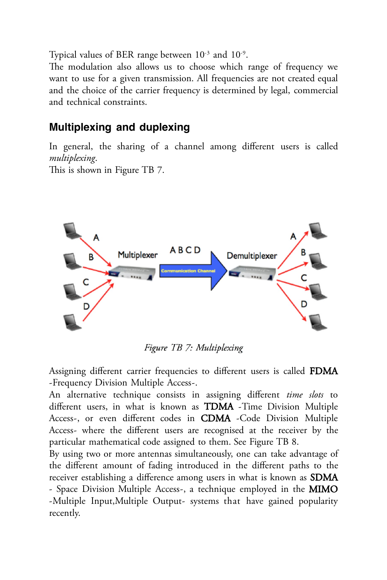Typical values of BER range between  $10^{-3}$  and  $10^{-9}$ .

The modulation also allows us to choose which range of frequency we want to use for a given transmission. All frequencies are not created equal and the choice of the carrier frequency is determined by legal, commercial and technical constraints.

## **Multiplexing and duplexing**

In general, the sharing of a channel among different users is called *multiplexing*.

This is shown in Figure TB 7.



Figure TB 7: Multiplexing

Assigning different carrier frequencies to different users is called FDMA -Frequency Division Multiple Access-.

An alternative technique consists in assigning different *time slots* to different users, in what is known as TDMA -Time Division Multiple Access-, or even different codes in CDMA -Code Division Multiple Access- where the different users are recognised at the receiver by the particular mathematical code assigned to them. See Figure TB 8.

By using two or more antennas simultaneously, one can take advantage of the different amount of fading introduced in the different paths to the receiver establishing a difference among users in what is known as **SDMA** - Space Division Multiple Access-, a technique employed in the MIMO -Multiple Input,Multiple Output- systems that have gained popularity recently.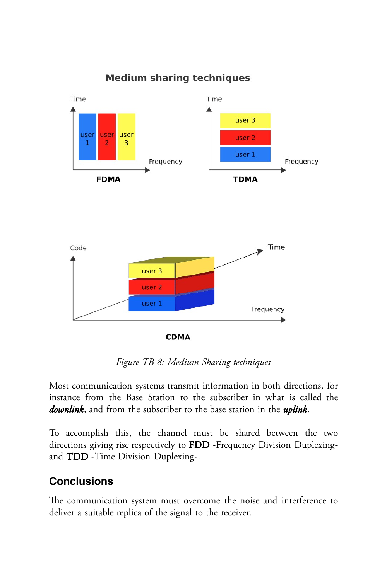

### **Medium sharing techniques**

*Figure TB 8: Medium Sharing techniques*

Most communication systems transmit information in both directions, for instance from the Base Station to the subscriber in what is called the *downlink*, and from the subscriber to the base station in the *uplink*.

To accomplish this, the channel must be shared between the two directions giving rise respectively to FDD -Frequency Division Duplexingand TDD -Time Division Duplexing-.

## **Conclusions**

The communication system must overcome the noise and interference to deliver a suitable replica of the signal to the receiver.